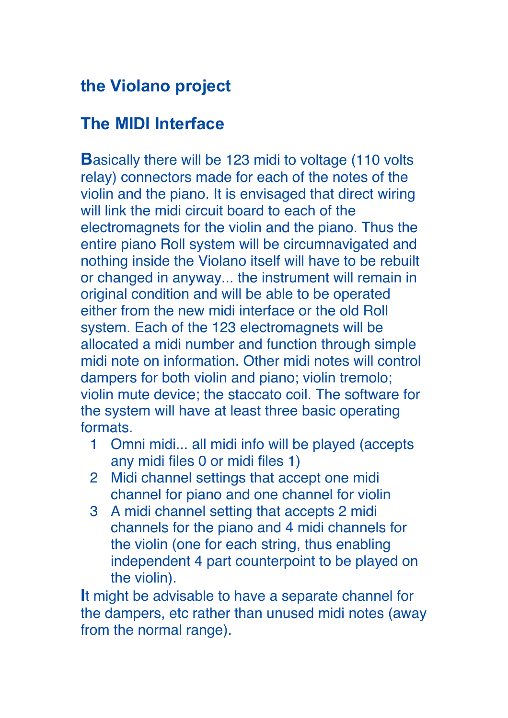# **the Violano project**

### **The MIDI Interface**

**Basically there will be 123 midi to voltage (110 volts)** relay) connectors made for each of the notes of the violin and the piano. It is envisaged that direct wiring will link the midi circuit board to each of the electromagnets for the violin and the piano. Thus the entire piano Roll system will be circumnavigated and nothing inside the Violano itself will have to be rebuilt or changed in anyway... the instrument will remain in original condition and will be able to be operated either from the new midi interface or the old Roll system. Each of the 123 electromagnets will be allocated a midi number and function through simple midi note on information. Other midi notes will control dampers for both violin and piano; violin tremolo; violin mute device; the staccato coil. The software for the system will have at least three basic operating formats.

- 1 Omni midi... all midi info will be played (accepts any midi files 0 or midi files 1)
- 2 Midi channel settings that accept one midi channel for piano and one channel for violin
- 3 A midi channel setting that accepts 2 midi channels for the piano and 4 midi channels for the violin (one for each string, thus enabling independent 4 part counterpoint to be played on the violin).

**I**t might be advisable to have a separate channel for the dampers, etc rather than unused midi notes (away from the normal range).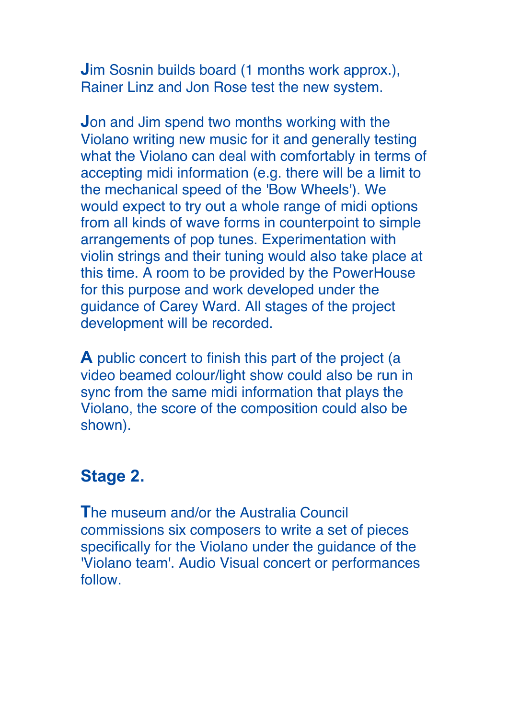**J**im Sosnin builds board (1 months work approx.), Rainer Linz and Jon Rose test the new system.

**J**on and Jim spend two months working with the Violano writing new music for it and generally testing what the Violano can deal with comfortably in terms of accepting midi information (e.g. there will be a limit to the mechanical speed of the 'Bow Wheels'). We would expect to try out a whole range of midi options from all kinds of wave forms in counterpoint to simple arrangements of pop tunes. Experimentation with violin strings and their tuning would also take place at this time. A room to be provided by the PowerHouse for this purpose and work developed under the guidance of Carey Ward. All stages of the project development will be recorded.

**A** public concert to finish this part of the project (a video beamed colour/light show could also be run in sync from the same midi information that plays the Violano, the score of the composition could also be shown).

# **Stage 2.**

**T**he museum and/or the Australia Council commissions six composers to write a set of pieces specifically for the Violano under the guidance of the 'Violano team'. Audio Visual concert or performances follow.